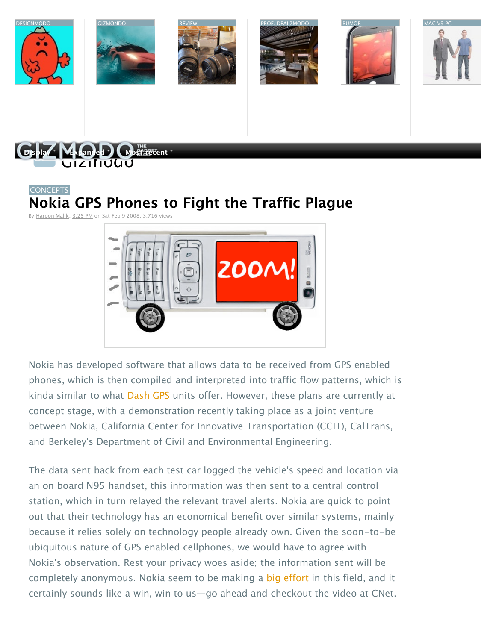







# [CONCEPTS](http://gizmodo.com/tag/concepts/) **[Nokia GPS Phones to Fight the Traffic Plague](http://gizmodo.com/354630/nokia-gps-phones-to-fight-the-traffic-plague)**

By [Haroon Malik](http://gizmodo.com/people/Haroon_Malik/posts/), [3:25 PM](http://gizmodo.com/354630/nokia-gps-phones-to-fight-the-traffic-plague) on Sat Feb 9 2008, 3,716 views



Nokia has developed software that allows data to be received from GPS enabled phones, which is then compiled and interpreted into traffic flow patterns, which is kinda similar to what [Dash GPS](http://gizmodo.com/tag/dash/gps) units offer. However, these plans are currently at concept stage, with a demonstration recently taking place as a joint venture between Nokia, [California Center for Innovative Transportation](http://gizmodo.com/tag/california-center-for-innovative-transportation/) (CCIT), CalTrans, and Berkeley's Department of Civil and Environmental Engineering.

The data sent back from each test car logged the vehicle's speed and location via an on board N95 handset, this information was then sent to a central control station, which in turn relayed the relevant travel alerts. Nokia are quick to point out that their technology has an economical benefit over similar systems, mainly because it relies solely on technology people already own. Given the soon-to-be ubiquitous nature of GPS enabled cellphones, we would have to agree with Nokia's observation. Rest your privacy woes aside; the information sent will be completely anonymous. Nokia seem to be making a [big effort](http://gizmodo.com/354593/nokia-maps-20-beta-reveals-cartographic-improvements) in this field, and it certainly sounds like a win, win to us—go ahead and checkout the video at CNet.